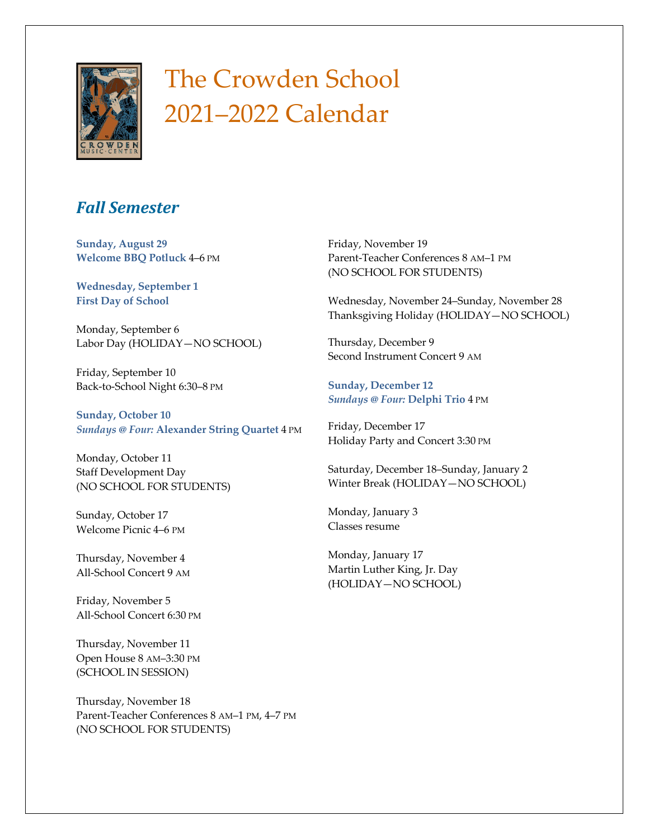

## The Crowden School 2021–2022 Calendar

## *Fall Semester*

**Sunday, August 29 Welcome BBQ Potluck** 4–6 PM

**Wednesday, September 1 First Day of School** 

Monday, September 6 Labor Day (HOLIDAY—NO SCHOOL)

Friday, September 10 Back-to-School Night 6:30–8 PM

**Sunday, October 10** *Sundays @ Four:* **Alexander String Quartet** 4 PM

Monday, October 11 Staff Development Day (NO SCHOOL FOR STUDENTS)

Sunday, October 17 Welcome Picnic 4–6 PM

Thursday, November 4 All-School Concert 9 AM

Friday, November 5 All-School Concert 6:30 PM

Thursday, November 11 Open House 8 AM–3:30 PM (SCHOOL IN SESSION)

Thursday, November 18 Parent-Teacher Conferences 8 AM–1 PM, 4–7 PM (NO SCHOOL FOR STUDENTS)

Friday, November 19 Parent-Teacher Conferences 8 AM–1 PM (NO SCHOOL FOR STUDENTS)

Wednesday, November 24–Sunday, November 28 Thanksgiving Holiday (HOLIDAY—NO SCHOOL)

Thursday, December 9 Second Instrument Concert 9 AM

**Sunday, December 12** *Sundays @ Four:* **Delphi Trio** 4 PM

Friday, December 17 Holiday Party and Concert 3:30 PM

Saturday, December 18–Sunday, January 2 Winter Break (HOLIDAY—NO SCHOOL)

Monday, January 3 Classes resume

Monday, January 17 Martin Luther King, Jr. Day (HOLIDAY—NO SCHOOL)